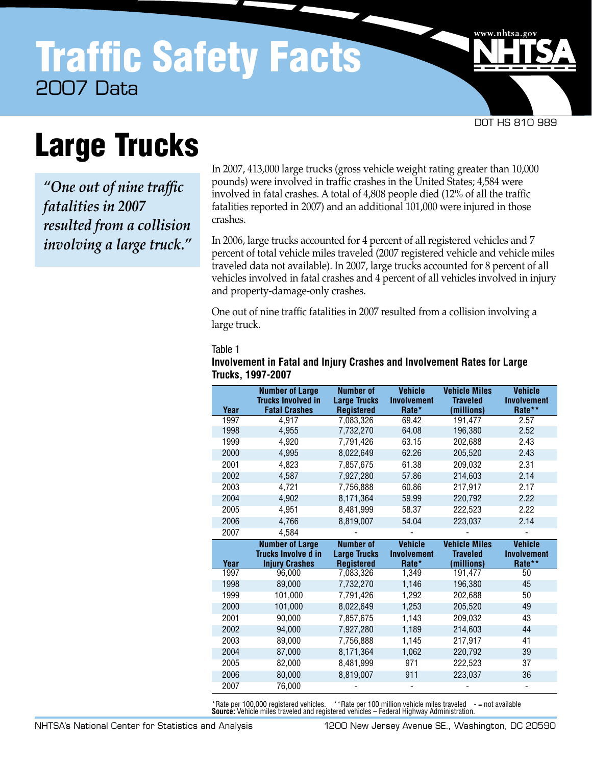DOT HS 810 989

www.nhtsa.go

# Large Trucks

*"One out of nine traffic fatalities in 2007 resulted from a collision involving a large truck."* In 2007, 413,000 large trucks (gross vehicle weight rating greater than 10,000 pounds) were involved in traffic crashes in the United States; 4,584 were involved in fatal crashes. A total of 4,808 people died (12% of all the traffic fatalities reported in 2007) and an additional 101,000 were injured in those crashes.

In 2006, large trucks accounted for 4 percent of all registered vehicles and 7 percent of total vehicle miles traveled (2007 registered vehicle and vehicle miles traveled data not available). In 2007, large trucks accounted for 8 percent of all vehicles involved in fatal crashes and 4 percent of all vehicles involved in injury and property-damage-only crashes.

One out of nine traffic fatalities in 2007 resulted from a collision involving a large truck.

#### Table 1

| Year         | <b>Number of Large</b><br><b>Trucks Involved in</b><br><b>Fatal Crashes</b> | <b>Number of</b><br><b>Large Trucks</b><br><b>Registered</b> | <b>Vehicle</b><br><b>Involvement</b><br>Rate* | <b>Vehicle Miles</b><br><b>Traveled</b><br>(millions) | <b>Vehicle</b><br><b>Involvement</b><br>Rate** |
|--------------|-----------------------------------------------------------------------------|--------------------------------------------------------------|-----------------------------------------------|-------------------------------------------------------|------------------------------------------------|
| 1997         | 4.917                                                                       | 7,083,326                                                    | 69.42                                         | 191.477                                               | 2.57                                           |
| 1998         | 4,955                                                                       | 7,732,270                                                    | 64.08                                         | 196,380                                               | 2.52                                           |
| 1999         | 4.920                                                                       | 7,791,426                                                    | 63.15                                         | 202.688                                               | 2.43                                           |
| 2000         | 4,995                                                                       | 8,022,649                                                    | 62.26                                         | 205,520                                               | 2.43                                           |
| 2001         | 4,823                                                                       | 7,857,675                                                    | 61.38                                         | 209,032                                               | 2.31                                           |
| 2002         | 4,587                                                                       | 7,927,280                                                    | 57.86                                         | 214,603                                               | 2.14                                           |
| 2003         | 4,721                                                                       | 7,756,888                                                    | 60.86                                         | 217.917                                               | 2.17                                           |
| 2004         | 4.902                                                                       | 8.171.364                                                    | 59.99                                         | 220.792                                               | 2.22                                           |
| 2005         | 4,951                                                                       | 8,481,999                                                    | 58.37                                         | 222,523                                               | 2.22                                           |
| 2006         | 4.766                                                                       | 8,819,007                                                    | 54.04                                         | 223,037                                               | 2.14                                           |
| 2007         | 4.584                                                                       |                                                              |                                               |                                                       |                                                |
|              |                                                                             |                                                              |                                               |                                                       |                                                |
|              | <b>Number of Large</b><br><b>Trucks Involve d in</b>                        | <b>Number of</b><br><b>Large Trucks</b>                      | <b>Vehicle</b><br><b>Involvement</b>          | <b>Vehicle Miles</b><br><b>Traveled</b>               | <b>Vehicle</b><br><b>Involvement</b>           |
| Year<br>1997 | <b>Injury Crashes</b><br>96.000                                             | <b>Registered</b>                                            | Rate*<br>1,349                                | (millions)<br>191,477                                 | Rate**<br>50                                   |
| 1998         | 89,000                                                                      | 7,083,326<br>7,732,270                                       | 1,146                                         | 196,380                                               | 45                                             |
| 1999         | 101,000                                                                     | 7,791,426                                                    | 1,292                                         | 202,688                                               | 50                                             |
| 2000         | 101,000                                                                     | 8,022,649                                                    | 1,253                                         | 205,520                                               | 49                                             |
| 2001         | 90.000                                                                      | 7,857,675                                                    | 1,143                                         | 209.032                                               | 43                                             |
| 2002         | 94,000                                                                      | 7,927,280                                                    | 1,189                                         | 214,603                                               | 44                                             |
| 2003         | 89,000                                                                      | 7,756,888                                                    | 1,145                                         | 217,917                                               | 41                                             |
| 2004         | 87,000                                                                      | 8,171,364                                                    | 1,062                                         | 220,792                                               | 39                                             |
| 2005         | 82.000                                                                      | 8,481,999                                                    | 971                                           | 222,523                                               | 37                                             |
| 2006         | 80,000                                                                      | 8,819,007                                                    | 911                                           | 223,037                                               | 36                                             |

## **Involvement in Fatal and Injury Crashes and Involvement Rates for Large Trucks, 1997-2007**

**Source:** Vehicle miles traveled and registered vehicles – Federal Highway Administration. \*Rate per 100,000 registered vehicles. \*\*Rate per 100 million vehicle miles traveled - = not available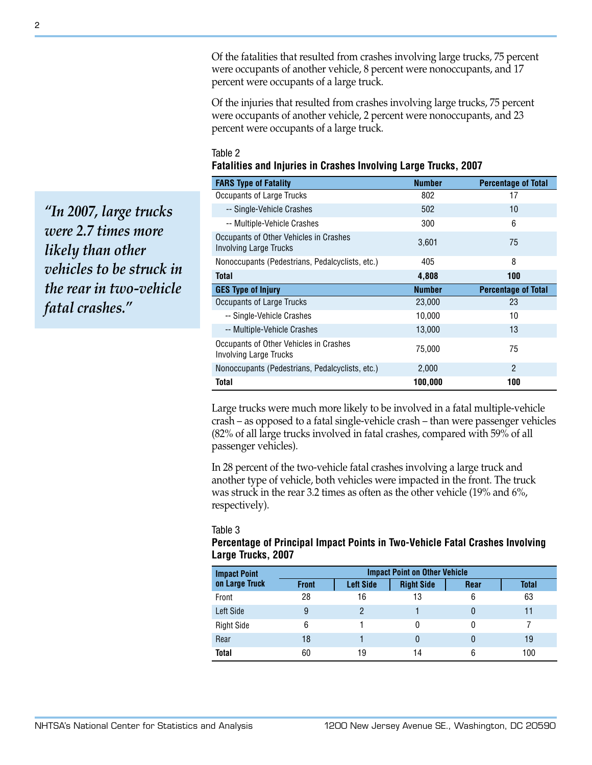Of the fatalities that resulted from crashes involving large trucks, 75 percent were occupants of another vehicle, 8 percent were nonoccupants, and 17 percent were occupants of a large truck.

Of the injuries that resulted from crashes involving large trucks, 75 percent were occupants of another vehicle, 2 percent were nonoccupants, and 23 percent were occupants of a large truck.

### Table 2 **Fatalities and Injuries in Crashes Involving Large Trucks, 2007**

| <b>FARS Type of Fatality</b>                                            | <b>Number</b> | <b>Percentage of Total</b> |
|-------------------------------------------------------------------------|---------------|----------------------------|
| Occupants of Large Trucks                                               | 802           | 17                         |
| -- Single-Vehicle Crashes                                               | 502           | 10                         |
| -- Multiple-Vehicle Crashes                                             | 300           | 6                          |
| Occupants of Other Vehicles in Crashes<br><b>Involving Large Trucks</b> | 3,601         | 75                         |
| Nonoccupants (Pedestrians, Pedalcyclists, etc.)                         | 405           | 8                          |
| <b>Total</b>                                                            | 4,808         | 100                        |
| <b>GES Type of Injury</b>                                               | <b>Number</b> | <b>Percentage of Total</b> |
| Occupants of Large Trucks                                               | 23,000        | 23                         |
| -- Single-Vehicle Crashes                                               | 10,000        | 10                         |
| -- Multiple-Vehicle Crashes                                             | 13,000        | 13                         |
| Occupants of Other Vehicles in Crashes<br>Involving Large Trucks        | 75,000        | 75                         |
| Nonoccupants (Pedestrians, Pedalcyclists, etc.)                         | 2,000         | $\mathfrak{p}$             |
| Total                                                                   | 100,000       | 100                        |

Large trucks were much more likely to be involved in a fatal multiple-vehicle crash – as opposed to a fatal single-vehicle crash – than were passenger vehicles (82% of all large trucks involved in fatal crashes, compared with 59% of all passenger vehicles).

In 28 percent of the two-vehicle fatal crashes involving a large truck and another type of vehicle, both vehicles were impacted in the front. The truck was struck in the rear 3.2 times as often as the other vehicle (19% and 6%, respectively).

#### Table 3

## **Percentage of Principal Impact Points in Two-Vehicle Fatal Crashes Involving Large Trucks, 2007**

| <b>Impact Point</b> | <b>Impact Point on Other Vehicle</b> |                  |                   |      |              |  |
|---------------------|--------------------------------------|------------------|-------------------|------|--------------|--|
| on Large Truck      | <b>Front</b>                         | <b>Left Side</b> | <b>Right Side</b> | Rear | <b>Total</b> |  |
| Front               | 28                                   | 16               | 13                | 6    | 63           |  |
| Left Side           | 9                                    | 2                |                   | 0    | 11           |  |
| <b>Right Side</b>   | 6                                    |                  | 0                 | 0    |              |  |
| Rear                | 18                                   |                  | 0                 | 0    | 19           |  |
| <b>Total</b>        | 60                                   | 19               | 14                | 6    | 100          |  |

*"In 2007, large trucks were 2.7 times more likely than other vehicles to be struck in the rear in two-vehicle fatal crashes."*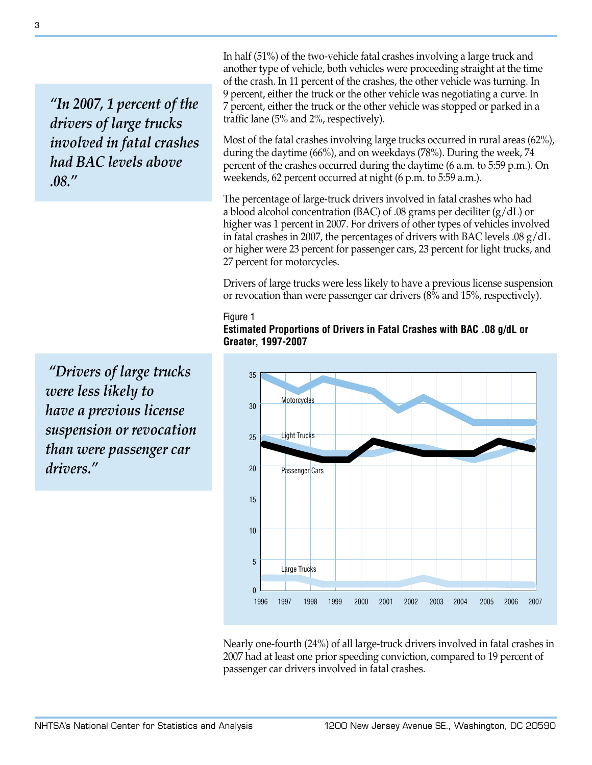*"In 2007, 1 percent of the drivers of large trucks involved in fatal crashes had BAC levels above .08."*

 *"Drivers of large trucks were less likely to have a previous license suspension or revocation than were passenger car drivers."*

In half (51%) of the two-vehicle fatal crashes involving a large truck and another type of vehicle, both vehicles were proceeding straight at the time of the crash. In 11 percent of the crashes, the other vehicle was turning. In 9 percent, either the truck or the other vehicle was negotiating a curve. In 7 percent, either the truck or the other vehicle was stopped or parked in a traffic lane (5% and 2%, respectively).

Most of the fatal crashes involving large trucks occurred in rural areas (62%), during the daytime (66%), and on weekdays (78%). During the week, 74 percent of the crashes occurred during the daytime (6 a.m. to 5:59 p.m.). On weekends, 62 percent occurred at night (6 p.m. to 5:59 a.m.).

The percentage of large-truck drivers involved in fatal crashes who had a blood alcohol concentration (BAC) of .08 grams per deciliter (g/dL) or higher was 1 percent in 2007. For drivers of other types of vehicles involved in fatal crashes in 2007, the percentages of drivers with BAC levels .08 g/dL or higher were 23 percent for passenger cars, 23 percent for light trucks, and 27 percent for motorcycles.

Drivers of large trucks were less likely to have a previous license suspension or revocation than were passenger car drivers (8% and 15%, respectively).

#### Figure 1

**Estimated Proportions of Drivers in Fatal Crashes with BAC .08 g/dL or Greater, 1997-2007**



Nearly one-fourth (24%) of all large-truck drivers involved in fatal crashes in 2007 had at least one prior speeding conviction, compared to 19 percent of passenger car drivers involved in fatal crashes.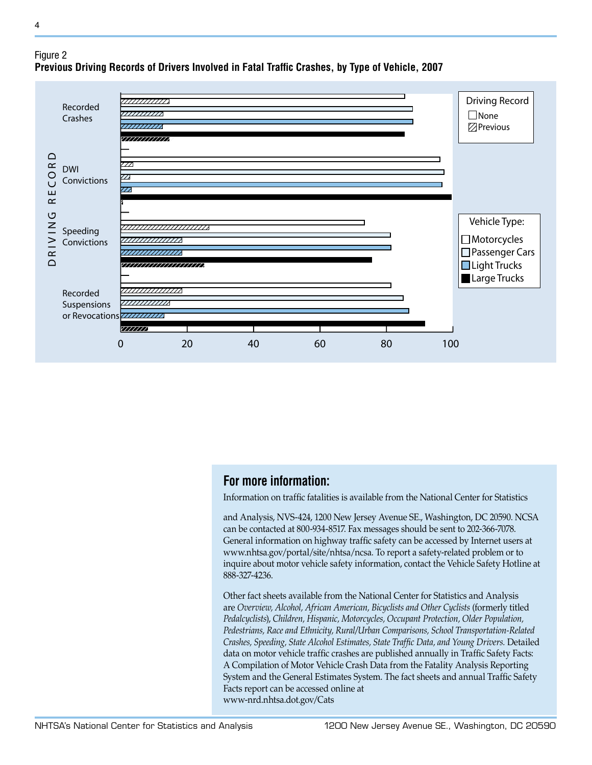

# Figure 2 **Previous Driving Records of Drivers Involved in Fatal Traffic Crashes, by Type of Vehicle, 2007**

# **For more information:**

Information on traffic fatalities is available from the National Center for Statistics

and Analysis, NVS-424, 1200 New Jersey Avenue SE., Washington, DC 20590. NCSA can be contacted at 800-934-8517. Fax messages should be sent to 202-366-7078. General information on highway traffic safety can be accessed by Internet users at www.nhtsa.gov/portal/site/nhtsa/ncsa. To report a safety-related problem or to inquire about motor vehicle safety information, contact the Vehicle Safety Hotline at 888-327-4236.

Other fact sheets available from the National Center for Statistics and Analysis are *Overview, Alcohol, African American, Bicyclists and Other Cyclists* (formerly titled *Pedalcyclists*), *Children, Hispanic, Motorcycles, Occupant Protection, Older Population, Pedestrians, Race and Ethnicity, Rural/Urban Comparisons, School Transportation-Related Crashes, Speeding, State Alcohol Estimates, State Traffic Data, and Young Drivers.* Detailed data on motor vehicle traffic crashes are published annually in Traffic Safety Facts: A Compilation of Motor Vehicle Crash Data from the Fatality Analysis Reporting System and the General Estimates System. The fact sheets and annual Traffic Safety Facts report can be accessed online at www-nrd.nhtsa.dot.gov/Cats